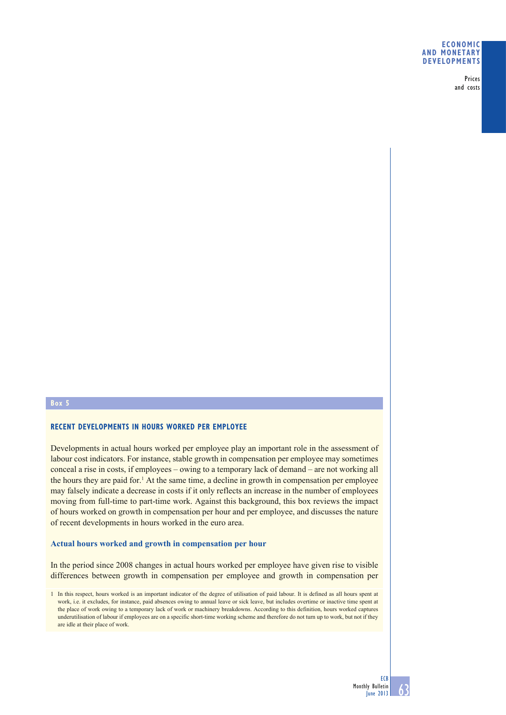### **ECONOMIC AND MONETARY DEVELOPMENTS**

Prices and costs

# **Box 5**

# **RECENT DEVELOPMENTS IN HOURS WORKED PER EMPLOYEE**

Developments in actual hours worked per employee play an important role in the assessment of labour cost indicators. For instance, stable growth in compensation per employee may sometimes conceal a rise in costs, if employees – owing to a temporary lack of demand – are not working all the hours they are paid for.<sup>1</sup> At the same time, a decline in growth in compensation per employee may falsely indicate a decrease in costs if it only reflects an increase in the number of employees moving from full-time to part-time work. Against this background, this box reviews the impact of hours worked on growth in compensation per hour and per employee, and discusses the nature of recent developments in hours worked in the euro area.

### **Actual hours worked and growth in compensation per hour**

In the period since 2008 changes in actual hours worked per employee have given rise to visible differences between growth in compensation per employee and growth in compensation per



<sup>1</sup> In this respect, hours worked is an important indicator of the degree of utilisation of paid labour. It is defined as all hours spent at work, i.e. it excludes, for instance, paid absences owing to annual leave or sick leave, but includes overtime or inactive time spent at the place of work owing to a temporary lack of work or machinery breakdowns. According to this definition, hours worked captures underutilisation of labour if employees are on a specific short-time working scheme and therefore do not turn up to work, but not if they are idle at their place of work.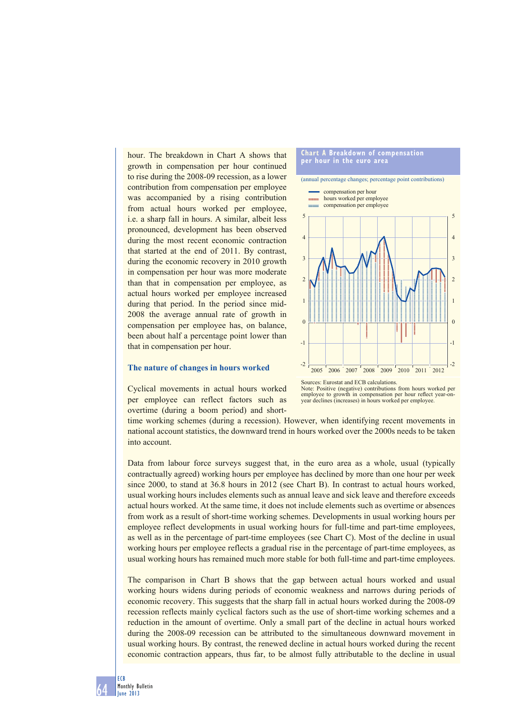hour. The breakdown in Chart A shows that growth in compensation per hour continued to rise during the 2008-09 recession, as a lower contribution from compensation per employee was accompanied by a rising contribution from actual hours worked per employee, i.e. a sharp fall in hours. A similar, albeit less pronounced, development has been observed during the most recent economic contraction that started at the end of 2011. By contrast, during the economic recovery in 2010 growth in compensation per hour was more moderate than that in compensation per employee, as actual hours worked per employee increased during that period. In the period since mid-2008 the average annual rate of growth in compensation per employee has, on balance, been about half a percentage point lower than that in compensation per hour.

#### **Chart A Breakdown of compensation per hour in the euro area**

(annual percentage changes; percentage point contributions)



#### **The nature of changes in hours worked**

Cyclical movements in actual hours worked per employee can reflect factors such as overtime (during a boom period) and short-

Sources: Eurostat and ECB calculations. Note: Positive (negative) contributions from hours worked per employee to growth in compensation per hour reflect year-on-<br>year declines (increases) in hours worked per employee.

time working schemes (during a recession). However, when identifying recent movements in national account statistics, the downward trend in hours worked over the 2000s needs to be taken into account.

Data from labour force surveys suggest that, in the euro area as a whole, usual (typically contractually agreed) working hours per employee has declined by more than one hour per week since 2000, to stand at 36.8 hours in 2012 (see Chart B). In contrast to actual hours worked, usual working hours includes elements such as annual leave and sick leave and therefore exceeds actual hours worked. At the same time, it does not include elements such as overtime or absences from work as a result of short-time working schemes. Developments in usual working hours per employee reflect developments in usual working hours for full-time and part-time employees, as well as in the percentage of part-time employees (see Chart C). Most of the decline in usual working hours per employee reflects a gradual rise in the percentage of part-time employees, as usual working hours has remained much more stable for both full-time and part-time employees.

The comparison in Chart B shows that the gap between actual hours worked and usual working hours widens during periods of economic weakness and narrows during periods of economic recovery. This suggests that the sharp fall in actual hours worked during the 2008-09 recession reflects mainly cyclical factors such as the use of short-time working schemes and a reduction in the amount of overtime. Only a small part of the decline in actual hours worked during the 2008-09 recession can be attributed to the simultaneous downward movement in usual working hours. By contrast, the renewed decline in actual hours worked during the recent economic contraction appears, thus far, to be almost fully attributable to the decline in usual